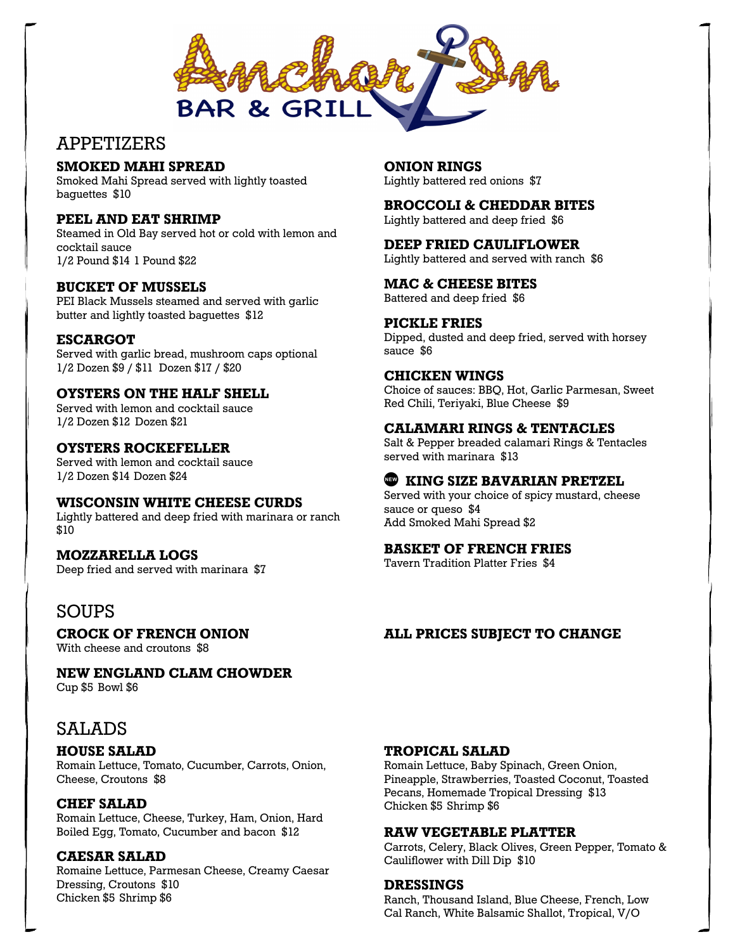

## APPETIZERS

## **SMOKED MAHI SPREAD**

Smoked Mahi Spread served with lightly toasted baguettes \$10

## **PEEL AND EAT SHRIMP**

Steamed in Old Bay served hot or cold with lemon and cocktail sauce 1/2 Pound \$14 1 Pound \$22

## **BUCKET OF MUSSELS**

PEI Black Mussels steamed and served with garlic butter and lightly toasted baguettes \$12

## **ESCARGOT**

Served with garlic bread, mushroom caps optional 1/2 Dozen \$9 / \$11 Dozen \$17 / \$20

## **OYSTERS ON THE HALF SHELL**

Served with lemon and cocktail sauce 1/2 Dozen \$12 Dozen \$21

#### **OYSTERS ROCKEFELLER**

Served with lemon and cocktail sauce 1/2 Dozen \$14 Dozen \$24

## **WISCONSIN WHITE CHEESE CURDS**

Lightly battered and deep fried with marinara or ranch \$10

## **MOZZARELLA LOGS**

Deep fried and served with marinara \$7

## SOUPS

**CROCK OF FRENCH ONION**

With cheese and croutons \$8

## **NEW ENGLAND CLAM CHOWDER**

Cup \$5 Bowl \$6

# SALADS

## **HOUSE SALAD**

Romain Lettuce, Tomato, Cucumber, Carrots, Onion, Cheese, Croutons \$8

## **CHEF SALAD**

Romain Lettuce, Cheese, Turkey, Ham, Onion, Hard Boiled Egg, Tomato, Cucumber and bacon \$12

## **CAESAR SALAD**

Romaine Lettuce, Parmesan Cheese, Creamy Caesar Dressing, Croutons \$10 Chicken \$5 Shrimp \$6

**ONION RINGS** Lightly battered red onions \$7

## **BROCCOLI & CHEDDAR BITES**

Lightly battered and deep fried \$6

#### **DEEP FRIED CAULIFLOWER**

Lightly battered and served with ranch \$6

#### **MAC & CHEESE BITES**

Battered and deep fried \$6

#### **PICKLE FRIES**

Dipped, dusted and deep fried, served with horsey sauce \$6

#### **CHICKEN WINGS**

Choice of sauces: BBQ, Hot, Garlic Parmesan, Sweet Red Chili, Teriyaki, Blue Cheese \$9

#### **CALAMARI RINGS & TENTACLES**

Salt & Pepper breaded calamari Rings & Tentacles served with marinara \$13

## **KING SIZE BAVARIAN PRETZEL**

Served with your choice of spicy mustard, cheese sauce or queso \$4 Add Smoked Mahi Spread \$2

## **BASKET OF FRENCH FRIES**

Tavern Tradition Platter Fries \$4

## **ALL PRICES SUBJECT TO CHANGE**

#### **TROPICAL SALAD**

Romain Lettuce, Baby Spinach, Green Onion, Pineapple, Strawberries, Toasted Coconut, Toasted Pecans, Homemade Tropical Dressing \$13 Chicken \$5 Shrimp \$6

## **RAW VEGETABLE PLATTER**

Carrots, Celery, Black Olives, Green Pepper, Tomato & Cauliflower with Dill Dip \$10

## **DRESSINGS**

Ranch, Thousand Island, Blue Cheese, French, Low Cal Ranch, White Balsamic Shallot, Tropical, V/O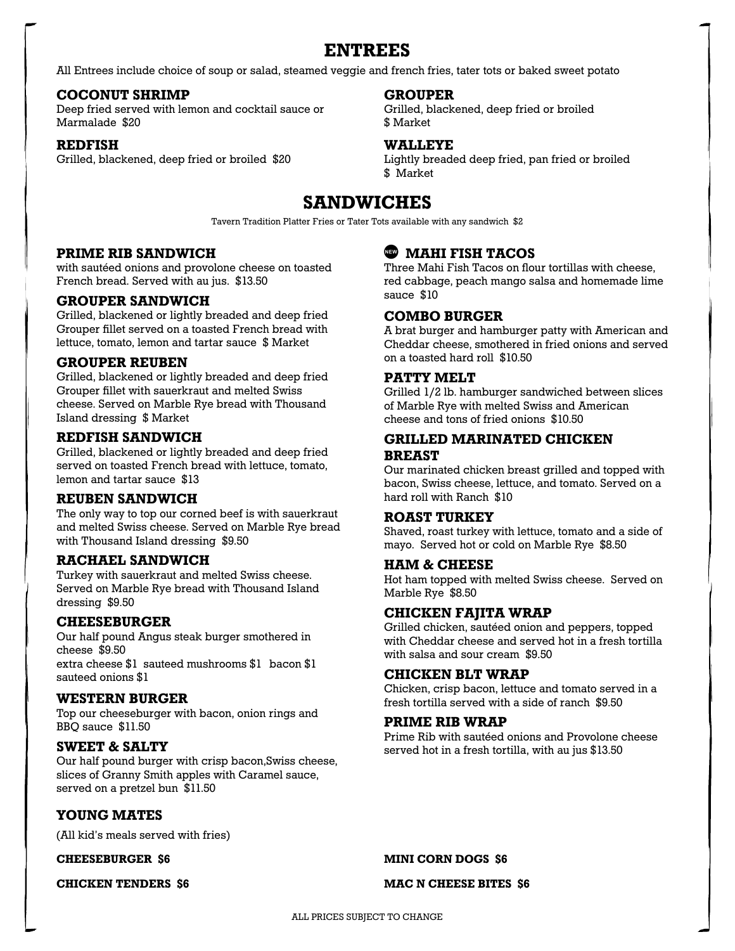## **ENTREES**

All Entrees include choice of soup or salad, steamed veggie and french fries, tater tots or baked sweet potato

#### **COCONUT SHRIMP**

Deep fried served with lemon and cocktail sauce or Marmalade \$20

#### **REDFISH**

Grilled, blackened, deep fried or broiled \$20

#### **GROUPER**

Grilled, blackened, deep fried or broiled \$ Market

## **WALLEYE**

Lightly breaded deep fried, pan fried or broiled \$ Market

# **SANDWICHES**

Tavern Tradition Platter Fries or Tater Tots available with any sandwich \$2

#### **PRIME RIB SANDWICH**

with sautéed onions and provolone cheese on toasted French bread. Served with au jus. \$13.50

#### **GROUPER SANDWICH**

Grilled, blackened or lightly breaded and deep fried Grouper fillet served on a toasted French bread with lettuce, tomato, lemon and tartar sauce \$ Market

#### **GROUPER REUBEN**

Grilled, blackened or lightly breaded and deep fried Grouper fillet with sauerkraut and melted Swiss cheese. Served on Marble Rye bread with Thousand Island dressing \$ Market

## **REDFISH SANDWICH**

Grilled, blackened or lightly breaded and deep fried served on toasted French bread with lettuce, tomato, lemon and tartar sauce \$13

#### **REUBEN SANDWICH**

The only way to top our corned beef is with sauerkraut and melted Swiss cheese. Served on Marble Rye bread with Thousand Island dressing \$9.50

#### **RACHAEL SANDWICH**

Turkey with sauerkraut and melted Swiss cheese. Served on Marble Rye bread with Thousand Island dressing \$9.50

#### **CHEESEBURGER**

Our half pound Angus steak burger smothered in cheese \$9.50 extra cheese \$1 sauteed mushrooms \$1 bacon \$1 sauteed onions \$1

#### **WESTERN BURGER**

Top our cheeseburger with bacon, onion rings and BBQ sauce \$11.50

## **SWEET & SALTY**

Our half pound burger with crisp bacon,Swiss cheese, slices of Granny Smith apples with Caramel sauce, served on a pretzel bun \$11.50

## **YOUNG MATES**

(All kid's meals served with fries)

**CHEESEBURGER \$6**

**CHICKEN TENDERS \$6**

## **MAHI FISH TACOS**

Three Mahi Fish Tacos on flour tortillas with cheese, red cabbage, peach mango salsa and homemade lime sauce \$10

## **COMBO BURGER**

A brat burger and hamburger patty with American and Cheddar cheese, smothered in fried onions and served on a toasted hard roll \$10.50

#### **PATTY MELT**

Grilled 1/2 lb. hamburger sandwiched between slices of Marble Rye with melted Swiss and American cheese and tons of fried onions \$10.50

## **GRILLED MARINATED CHICKEN BREAST**

Our marinated chicken breast grilled and topped with bacon, Swiss cheese, lettuce, and tomato. Served on a hard roll with Ranch \$10

#### **ROAST TURKEY**

Shaved, roast turkey with lettuce, tomato and a side of mayo. Served hot or cold on Marble Rye \$8.50

#### **HAM & CHEESE**

Hot ham topped with melted Swiss cheese. Served on Marble Rye \$8.50

#### **CHICKEN FAJITA WRAP**

Grilled chicken, sautéed onion and peppers, topped with Cheddar cheese and served hot in a fresh tortilla with salsa and sour cream \$9.50

## **CHICKEN BLT WRAP**

Chicken, crisp bacon, lettuce and tomato served in a fresh tortilla served with a side of ranch \$9.50

## **PRIME RIB WRAP**

Prime Rib with sautéed onions and Provolone cheese served hot in a fresh tortilla, with au jus \$13.50

**MINI CORN DOGS \$6**

#### **MAC N CHEESE BITES \$6**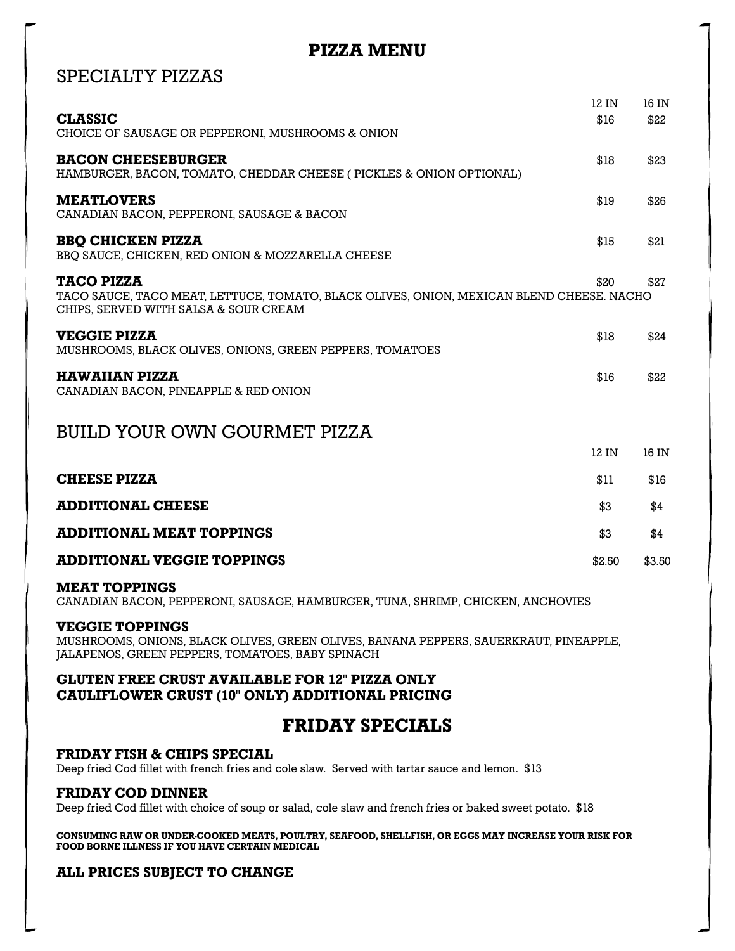# **PIZZA MENU**

# SPECIALTY PIZZAS

|                                                                                                                                                        | 12 IN  | 16 IN  |
|--------------------------------------------------------------------------------------------------------------------------------------------------------|--------|--------|
| <b>CLASSIC</b><br>CHOICE OF SAUSAGE OR PEPPERONI, MUSHROOMS & ONION                                                                                    | \$16   | \$22   |
| <b>BACON CHEESEBURGER</b><br>HAMBURGER, BACON, TOMATO, CHEDDAR CHEESE (PICKLES & ONION OPTIONAL)                                                       | \$18   | \$23   |
| <b>MEATLOVERS</b><br>CANADIAN BACON, PEPPERONI, SAUSAGE & BACON                                                                                        | \$19   | \$26   |
| <b>BBO CHICKEN PIZZA</b><br>BBQ SAUCE, CHICKEN, RED ONION & MOZZARELLA CHEESE                                                                          | \$15   | \$21   |
| <b>TACO PIZZA</b><br>TACO SAUCE, TACO MEAT, LETTUCE, TOMATO, BLACK OLIVES, ONION, MEXICAN BLEND CHEESE. NACHO<br>CHIPS, SERVED WITH SALSA & SOUR CREAM | \$20   | \$27   |
| <b>VEGGIE PIZZA</b><br>MUSHROOMS, BLACK OLIVES, ONIONS, GREEN PEPPERS, TOMATOES                                                                        | \$18   | \$24   |
| <b>HAWAIIAN PIZZA</b><br>CANADIAN BACON, PINEAPPLE & RED ONION                                                                                         | \$16   | \$22   |
| <b>BUILD YOUR OWN GOURMET PIZZA</b>                                                                                                                    |        |        |
|                                                                                                                                                        | 12 IN  | 16 IN  |
| <b>CHEESE PIZZA</b>                                                                                                                                    | \$11   | \$16   |
| <b>ADDITIONAL CHEESE</b>                                                                                                                               | \$3    | \$4    |
| <b>ADDITIONAL MEAT TOPPINGS</b>                                                                                                                        | \$3    | \$4    |
| <b>ADDITIONAL VEGGIE TOPPINGS</b>                                                                                                                      | \$2.50 | \$3.50 |
| <b>MEAT TOPPINGS</b><br>CANADIAN BACON, PEPPERONI, SAUSAGE, HAMBURGER, TUNA, SHRIMP, CHICKEN, ANCHOVIES                                                |        |        |

#### **VEGGIE TOPPINGS**

MUSHROOMS, ONIONS, BLACK OLIVES, GREEN OLIVES, BANANA PEPPERS, SAUERKRAUT, PINEAPPLE, JALAPENOS, GREEN PEPPERS, TOMATOES, BABY SPINACH

## **GLUTEN FREE CRUST AVAILABLE FOR 12" PIZZA ONLY CAULIFLOWER CRUST (10" ONLY) ADDITIONAL PRICING**

## **FRIDAY SPECIALS**

## **FRIDAY FISH & CHIPS SPECIAL**

Deep fried Cod fillet with french fries and cole slaw. Served with tartar sauce and lemon. \$13

## **FRIDAY COD DINNER**

Deep fried Cod fillet with choice of soup or salad, cole slaw and french fries or baked sweet potato. \$18

**CONSUMING RAW OR UNDER-COOKED MEATS, POULTRY, SEAFOOD, SHELLFISH, OR EGGS MAY INCREASE YOUR RISK FOR FOOD BORNE ILLNESS IF YOU HAVE CERTAIN MEDICAL** 

## **ALL PRICES SUBJECT TO CHANGE**